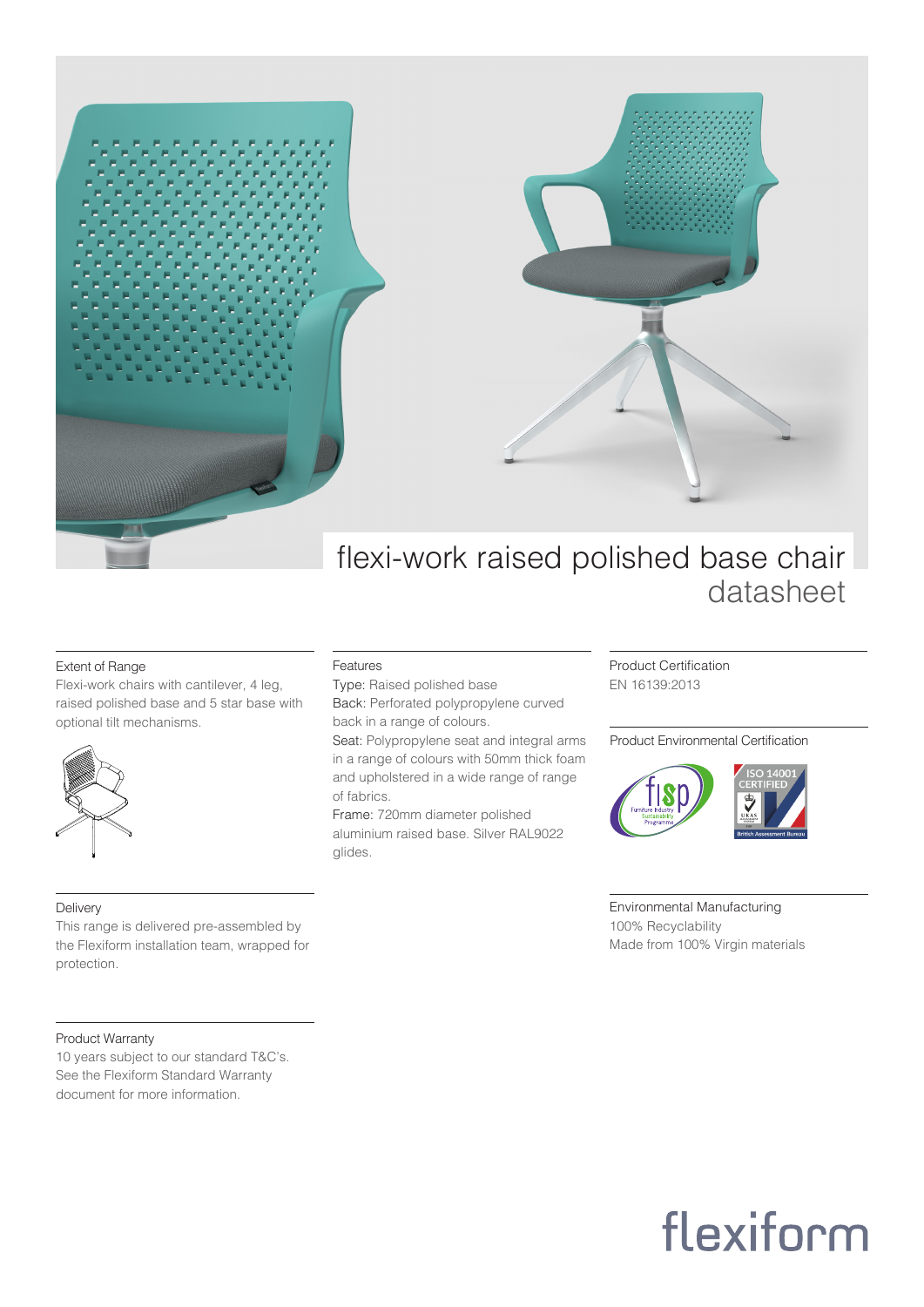

### Extent of Range

Flexi-work chairs with cantilever, 4 leg, raised polished base and 5 star base with optional tilt mechanisms.



### Delivery

This range is delivered pre-assembled by the Flexiform installation team, wrapped for protection.

## Product Warranty

10 years subject to our standard T&C's. See the Flexiform Standard Warranty document for more information.

#### Features

Type: Raised polished base Back: Perforated polypropylene curved back in a range of colours.

Seat: Polypropylene seat and integral arms in a range of colours with 50mm thick foam and upholstered in a wide range of range of fabrics.

Frame: 720mm diameter polished aluminium raised base. Silver RAL9022 glides.

Product Certification EN 16139:2013

### Product Environmental Certification



Environmental Manufacturing 100% Recyclability Made from 100% Virgin materials